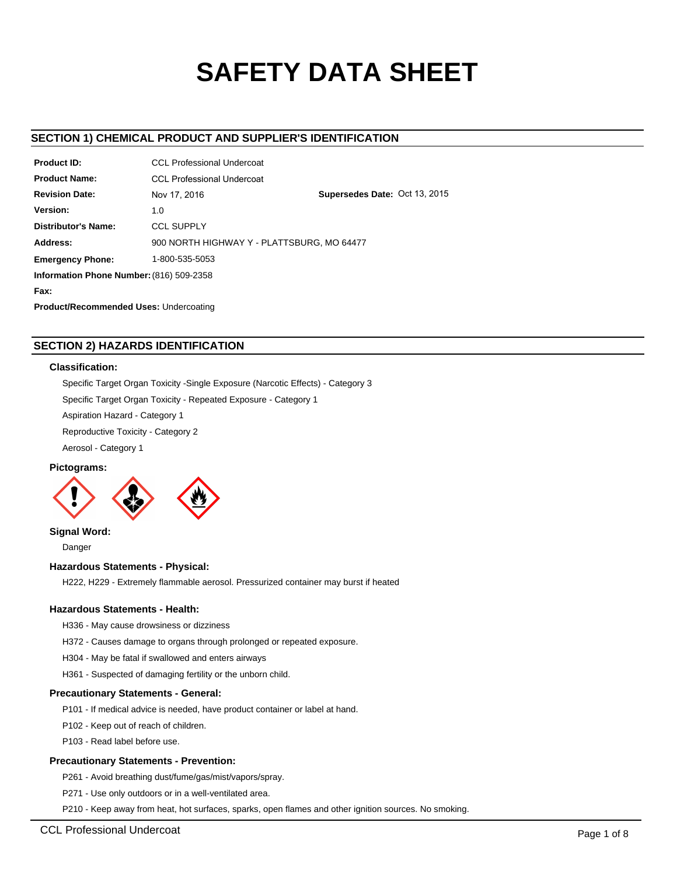# **SAFETY DATA SHEET**

# **SECTION 1) CHEMICAL PRODUCT AND SUPPLIER'S IDENTIFICATION**

| <b>Product ID:</b>                            | <b>CCL Professional Undercoat</b> |                                            |  |  |  |
|-----------------------------------------------|-----------------------------------|--------------------------------------------|--|--|--|
| <b>Product Name:</b>                          | <b>CCL Professional Undercoat</b> |                                            |  |  |  |
| <b>Revision Date:</b>                         | Nov 17, 2016                      | Supersedes Date: Oct 13, 2015              |  |  |  |
| Version:                                      | 1.0                               |                                            |  |  |  |
| <b>Distributor's Name:</b>                    | <b>CCL SUPPLY</b>                 |                                            |  |  |  |
| Address:                                      |                                   | 900 NORTH HIGHWAY Y - PLATTSBURG, MO 64477 |  |  |  |
| <b>Emergency Phone:</b>                       | 1-800-535-5053                    |                                            |  |  |  |
| Information Phone Number: (816) 509-2358      |                                   |                                            |  |  |  |
| Fax:                                          |                                   |                                            |  |  |  |
| <b>Product/Recommended Uses: Undercoating</b> |                                   |                                            |  |  |  |

# **SECTION 2) HAZARDS IDENTIFICATION**

# **Classification:**

Specific Target Organ Toxicity -Single Exposure (Narcotic Effects) - Category 3

Specific Target Organ Toxicity - Repeated Exposure - Category 1

Aspiration Hazard - Category 1

Reproductive Toxicity - Category 2

Aerosol - Category 1

# **Pictograms:**



# **Signal Word:**

Danger

#### **Hazardous Statements - Physical:**

H222, H229 - Extremely flammable aerosol. Pressurized container may burst if heated

#### **Hazardous Statements - Health:**

H336 - May cause drowsiness or dizziness

H372 - Causes damage to organs through prolonged or repeated exposure.

H304 - May be fatal if swallowed and enters airways

H361 - Suspected of damaging fertility or the unborn child.

#### **Precautionary Statements - General:**

P101 - If medical advice is needed, have product container or label at hand.

P102 - Keep out of reach of children.

P103 - Read label before use.

#### **Precautionary Statements - Prevention:**

P261 - Avoid breathing dust/fume/gas/mist/vapors/spray.

P271 - Use only outdoors or in a well-ventilated area.

P210 - Keep away from heat, hot surfaces, sparks, open flames and other ignition sources. No smoking.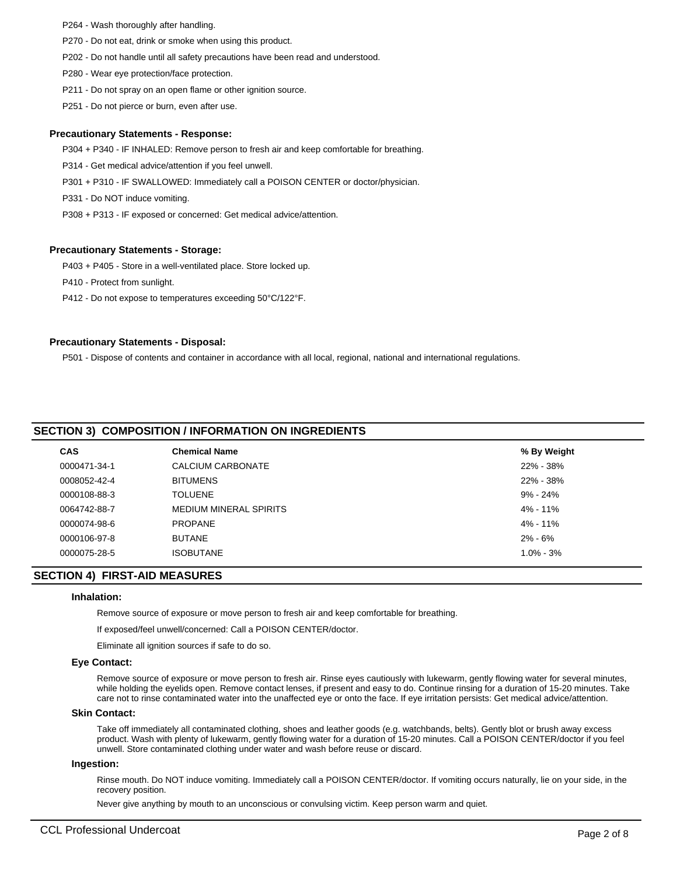- P264 Wash thoroughly after handling.
- P270 Do not eat, drink or smoke when using this product.
- P202 Do not handle until all safety precautions have been read and understood.
- P280 Wear eye protection/face protection.
- P211 Do not spray on an open flame or other ignition source.
- P251 Do not pierce or burn, even after use.

#### **Precautionary Statements - Response:**

P304 + P340 - IF INHALED: Remove person to fresh air and keep comfortable for breathing.

P314 - Get medical advice/attention if you feel unwell.

- P301 + P310 IF SWALLOWED: Immediately call a POISON CENTER or doctor/physician.
- P331 Do NOT induce vomiting.
- P308 + P313 IF exposed or concerned: Get medical advice/attention.

#### **Precautionary Statements - Storage:**

P403 + P405 - Store in a well-ventilated place. Store locked up.

P410 - Protect from sunlight.

P412 - Do not expose to temperatures exceeding 50°C/122°F.

#### **Precautionary Statements - Disposal:**

P501 - Dispose of contents and container in accordance with all local, regional, national and international regulations.

# **SECTION 3) COMPOSITION / INFORMATION ON INGREDIENTS**

| <b>CAS</b>   | <b>Chemical Name</b>   | % By Weight   |
|--------------|------------------------|---------------|
| 0000471-34-1 | CALCIUM CARBONATE      | 22% - 38%     |
| 0008052-42-4 | <b>BITUMENS</b>        | 22% - 38%     |
| 0000108-88-3 | <b>TOLUENE</b>         | 9% - 24%      |
| 0064742-88-7 | MEDIUM MINERAL SPIRITS | 4% - 11%      |
| 0000074-98-6 | <b>PROPANE</b>         | 4% - 11%      |
| 0000106-97-8 | <b>BUTANE</b>          | $2\% - 6\%$   |
| 0000075-28-5 | <b>ISOBUTANE</b>       | $1.0\% - 3\%$ |
|              |                        |               |

## **SECTION 4) FIRST-AID MEASURES**

#### **Inhalation:**

Remove source of exposure or move person to fresh air and keep comfortable for breathing.

If exposed/feel unwell/concerned: Call a POISON CENTER/doctor.

Eliminate all ignition sources if safe to do so.

#### **Eye Contact:**

Remove source of exposure or move person to fresh air. Rinse eyes cautiously with lukewarm, gently flowing water for several minutes, while holding the eyelids open. Remove contact lenses, if present and easy to do. Continue rinsing for a duration of 15-20 minutes. Take care not to rinse contaminated water into the unaffected eye or onto the face. If eye irritation persists: Get medical advice/attention.

#### **Skin Contact:**

Take off immediately all contaminated clothing, shoes and leather goods (e.g. watchbands, belts). Gently blot or brush away excess product. Wash with plenty of lukewarm, gently flowing water for a duration of 15-20 minutes. Call a POISON CENTER/doctor if you feel unwell. Store contaminated clothing under water and wash before reuse or discard.

#### **Ingestion:**

Rinse mouth. Do NOT induce vomiting. Immediately call a POISON CENTER/doctor. If vomiting occurs naturally, lie on your side, in the recovery position.

Never give anything by mouth to an unconscious or convulsing victim. Keep person warm and quiet.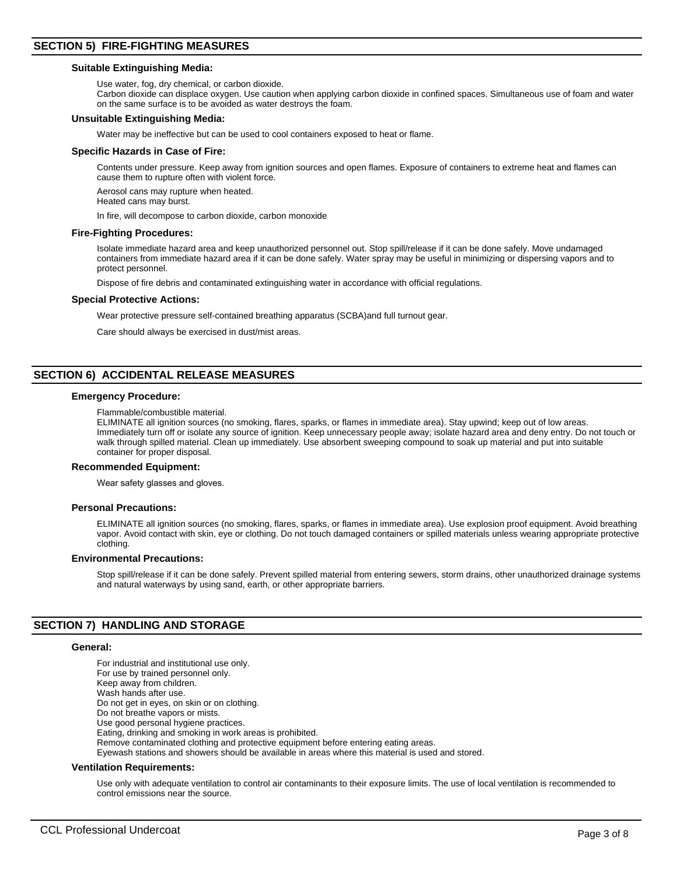#### **Suitable Extinguishing Media:**

Use water, fog, dry chemical, or carbon dioxide.

Carbon dioxide can displace oxygen. Use caution when applying carbon dioxide in confined spaces. Simultaneous use of foam and water on the same surface is to be avoided as water destroys the foam.

#### **Unsuitable Extinguishing Media:**

Water may be ineffective but can be used to cool containers exposed to heat or flame.

#### **Specific Hazards in Case of Fire:**

Contents under pressure. Keep away from ignition sources and open flames. Exposure of containers to extreme heat and flames can cause them to rupture often with violent force.

Aerosol cans may rupture when heated.

Heated cans may burst.

In fire, will decompose to carbon dioxide, carbon monoxide

#### **Fire-Fighting Procedures:**

Isolate immediate hazard area and keep unauthorized personnel out. Stop spill/release if it can be done safely. Move undamaged containers from immediate hazard area if it can be done safely. Water spray may be useful in minimizing or dispersing vapors and to protect personnel.

Dispose of fire debris and contaminated extinguishing water in accordance with official regulations.

#### **Special Protective Actions:**

Wear protective pressure self-contained breathing apparatus (SCBA)and full turnout gear.

Care should always be exercised in dust/mist areas.

# **SECTION 6) ACCIDENTAL RELEASE MEASURES**

#### **Emergency Procedure:**

Flammable/combustible material.

ELIMINATE all ignition sources (no smoking, flares, sparks, or flames in immediate area). Stay upwind; keep out of low areas. Immediately turn off or isolate any source of ignition. Keep unnecessary people away; isolate hazard area and deny entry. Do not touch or walk through spilled material. Clean up immediately. Use absorbent sweeping compound to soak up material and put into suitable container for proper disposal.

#### **Recommended Equipment:**

Wear safety glasses and gloves.

#### **Personal Precautions:**

ELIMINATE all ignition sources (no smoking, flares, sparks, or flames in immediate area). Use explosion proof equipment. Avoid breathing vapor. Avoid contact with skin, eye or clothing. Do not touch damaged containers or spilled materials unless wearing appropriate protective clothing.

#### **Environmental Precautions:**

Stop spill/release if it can be done safely. Prevent spilled material from entering sewers, storm drains, other unauthorized drainage systems and natural waterways by using sand, earth, or other appropriate barriers.

#### **SECTION 7) HANDLING AND STORAGE**

#### **General:**

For industrial and institutional use only. For use by trained personnel only. Keep away from children. Wash hands after use. Do not get in eyes, on skin or on clothing. Do not breathe vapors or mists. Use good personal hygiene practices. Eating, drinking and smoking in work areas is prohibited. Remove contaminated clothing and protective equipment before entering eating areas. Eyewash stations and showers should be available in areas where this material is used and stored.

#### **Ventilation Requirements:**

Use only with adequate ventilation to control air contaminants to their exposure limits. The use of local ventilation is recommended to control emissions near the source.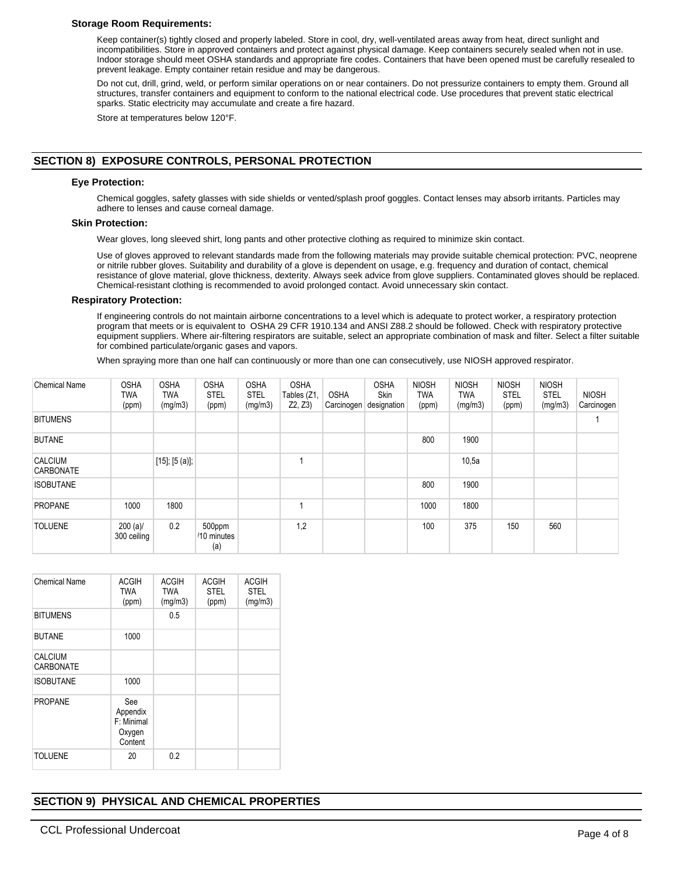## **Storage Room Requirements:**

Keep container(s) tightly closed and properly labeled. Store in cool, dry, well-ventilated areas away from heat, direct sunlight and incompatibilities. Store in approved containers and protect against physical damage. Keep containers securely sealed when not in use. Indoor storage should meet OSHA standards and appropriate fire codes. Containers that have been opened must be carefully resealed to prevent leakage. Empty container retain residue and may be dangerous.

Do not cut, drill, grind, weld, or perform similar operations on or near containers. Do not pressurize containers to empty them. Ground all structures, transfer containers and equipment to conform to the national electrical code. Use procedures that prevent static electrical sparks. Static electricity may accumulate and create a fire hazard.

Store at temperatures below 120°F.

# **SECTION 8) EXPOSURE CONTROLS, PERSONAL PROTECTION**

# **Eye Protection:**

Chemical goggles, safety glasses with side shields or vented/splash proof goggles. Contact lenses may absorb irritants. Particles may adhere to lenses and cause corneal damage.

# **Skin Protection:**

Wear gloves, long sleeved shirt, long pants and other protective clothing as required to minimize skin contact.

Use of gloves approved to relevant standards made from the following materials may provide suitable chemical protection: PVC, neoprene or nitrile rubber gloves. Suitability and durability of a glove is dependent on usage, e.g. frequency and duration of contact, chemical resistance of glove material, glove thickness, dexterity. Always seek advice from glove suppliers. Contaminated gloves should be replaced. Chemical-resistant clothing is recommended to avoid prolonged contact. Avoid unnecessary skin contact.

# **Respiratory Protection:**

If engineering controls do not maintain airborne concentrations to a level which is adequate to protect worker, a respiratory protection program that meets or is equivalent to OSHA 29 CFR 1910.134 and ANSI Z88.2 should be followed. Check with respiratory protective equipment suppliers. Where air-filtering respirators are suitable, select an appropriate combination of mask and filter. Select a filter suitable for combined particulate/organic gases and vapors.

When spraying more than one half can continuously or more than one can consecutively, use NIOSH approved respirator.

| <b>Chemical Name</b>               | <b>OSHA</b><br>TWA<br>(ppm) | <b>OSHA</b><br>TWA<br>(mg/m3) | <b>OSHA</b><br><b>STEL</b><br>(ppm) | <b>OSHA</b><br><b>STEL</b><br>(mg/m3) | <b>OSHA</b><br>Tables (Z1,<br>Z2, Z3) | <b>OSHA</b><br>Carcinogen | <b>OSHA</b><br>Skin<br>designation | <b>NIOSH</b><br><b>TWA</b><br>(ppm) | <b>NIOSH</b><br>TWA<br>(mg/m3) | <b>NIOSH</b><br><b>STEL</b><br>(ppm) | <b>NIOSH</b><br><b>STEL</b><br>(mg/m3) | <b>NIOSH</b><br>Carcinogen |
|------------------------------------|-----------------------------|-------------------------------|-------------------------------------|---------------------------------------|---------------------------------------|---------------------------|------------------------------------|-------------------------------------|--------------------------------|--------------------------------------|----------------------------------------|----------------------------|
| <b>BITUMENS</b>                    |                             |                               |                                     |                                       |                                       |                           |                                    |                                     |                                |                                      |                                        |                            |
| <b>BUTANE</b>                      |                             |                               |                                     |                                       |                                       |                           |                                    | 800                                 | 1900                           |                                      |                                        |                            |
| <b>CALCIUM</b><br><b>CARBONATE</b> |                             | $[15]$ ; $[5 (a)]$ ;          |                                     |                                       |                                       |                           |                                    |                                     | 10,5a                          |                                      |                                        |                            |
| <b>ISOBUTANE</b>                   |                             |                               |                                     |                                       |                                       |                           |                                    | 800                                 | 1900                           |                                      |                                        |                            |
| <b>PROPANE</b>                     | 1000                        | 1800                          |                                     |                                       |                                       |                           |                                    | 1000                                | 1800                           |                                      |                                        |                            |
| <b>TOLUENE</b>                     | $200 (a)$ /<br>300 ceiling  | 0.2                           | 500ppm<br>/10 minutes<br>(a)        |                                       | 1,2                                   |                           |                                    | 100                                 | 375                            | 150                                  | 560                                    |                            |

| Chemical Name               | <b>ACGIH</b><br><b>TWA</b><br>(ppm)                | <b>ACGIH</b><br><b>TWA</b><br>(mg/m3) | <b>ACGIH</b><br><b>STEL</b><br>(ppm) | <b>ACGIH</b><br><b>STEL</b><br>(mg/m3) |
|-----------------------------|----------------------------------------------------|---------------------------------------|--------------------------------------|----------------------------------------|
| <b>BITUMENS</b>             |                                                    | 0.5                                   |                                      |                                        |
| <b>BUTANE</b>               | 1000                                               |                                       |                                      |                                        |
| <b>CALCIUM</b><br>CARBONATE |                                                    |                                       |                                      |                                        |
| <b>ISOBUTANE</b>            | 1000                                               |                                       |                                      |                                        |
| <b>PROPANE</b>              | See<br>Appendix<br>F: Minimal<br>Oxygen<br>Content |                                       |                                      |                                        |
| <b>TOLUENE</b>              | 20                                                 | 0.2                                   |                                      |                                        |

# **SECTION 9) PHYSICAL AND CHEMICAL PROPERTIES**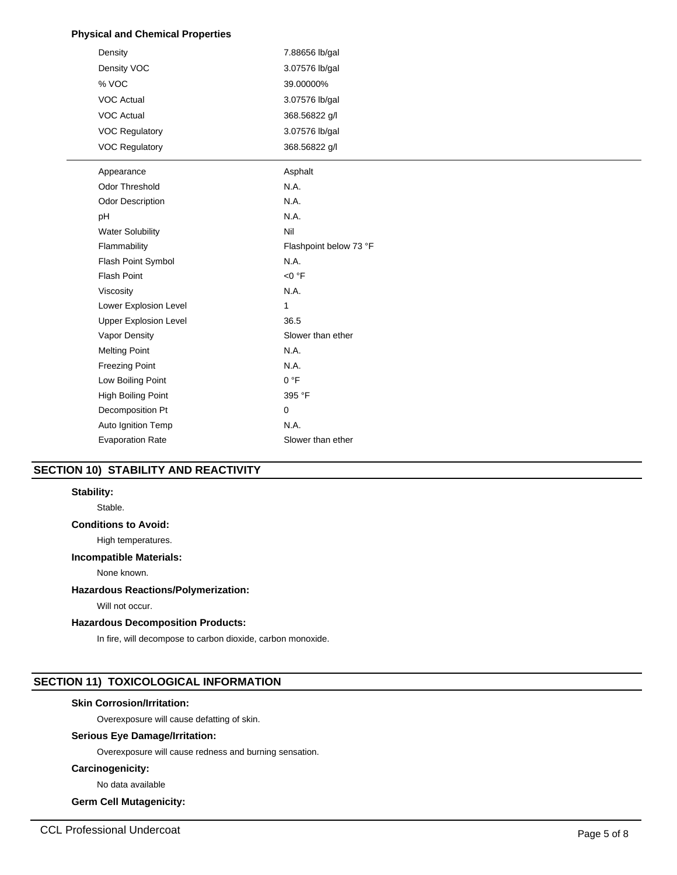# **Physical and Chemical Properties**

| Density                      | 7.88656 lb/gal         |
|------------------------------|------------------------|
| Density VOC                  | 3.07576 lb/gal         |
| % VOC                        | 39.00000%              |
| VOC Actual                   | 3.07576 lb/gal         |
| <b>VOC Actual</b>            | 368.56822 g/l          |
| <b>VOC Regulatory</b>        | 3.07576 lb/gal         |
| <b>VOC Regulatory</b>        | 368.56822 g/l          |
| Appearance                   | Asphalt                |
| Odor Threshold               | N.A.                   |
| <b>Odor Description</b>      | N.A.                   |
| pH                           | N.A.                   |
| <b>Water Solubility</b>      | Nil                    |
| Flammability                 | Flashpoint below 73 °F |
| Flash Point Symbol           | N.A.                   |
| <b>Flash Point</b>           | $<$ 0 $\degree$ F      |
| Viscosity                    | N.A.                   |
| Lower Explosion Level        | $\mathbf{1}$           |
| <b>Upper Explosion Level</b> | 36.5                   |
| Vapor Density                | Slower than ether      |
| <b>Melting Point</b>         | N.A.                   |
| <b>Freezing Point</b>        | N.A.                   |
| Low Boiling Point            | 0 °F                   |
| <b>High Boiling Point</b>    | 395 °F                 |
| Decomposition Pt             | $\mathbf 0$            |
| Auto Ignition Temp           | N.A.                   |
| <b>Evaporation Rate</b>      | Slower than ether      |
|                              |                        |

# **SECTION 10) STABILITY AND REACTIVITY**

# **Stability:**

Stable.

# **Conditions to Avoid:**

High temperatures.

#### **Incompatible Materials:**

None known.

# **Hazardous Reactions/Polymerization:**

Will not occur.

#### **Hazardous Decomposition Products:**

In fire, will decompose to carbon dioxide, carbon monoxide.

# **SECTION 11) TOXICOLOGICAL INFORMATION**

#### **Skin Corrosion/Irritation:**

Overexposure will cause defatting of skin.

# **Serious Eye Damage/Irritation:**

Overexposure will cause redness and burning sensation.

#### **Carcinogenicity:**

No data available

# **Germ Cell Mutagenicity:**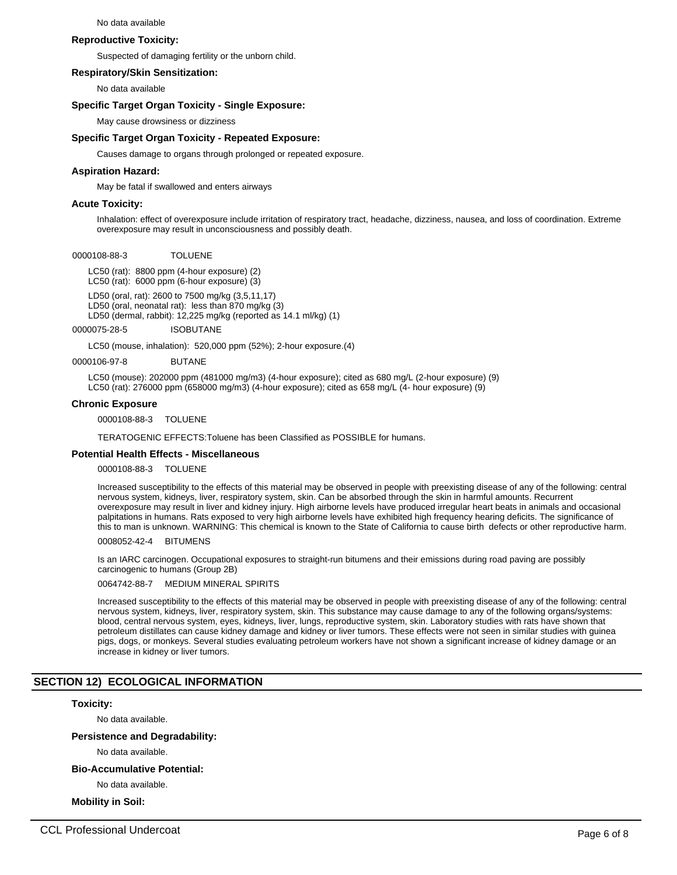#### No data available

#### **Reproductive Toxicity:**

Suspected of damaging fertility or the unborn child.

#### **Respiratory/Skin Sensitization:**

No data available

#### **Specific Target Organ Toxicity - Single Exposure:**

May cause drowsiness or dizziness

#### **Specific Target Organ Toxicity - Repeated Exposure:**

Causes damage to organs through prolonged or repeated exposure.

#### **Aspiration Hazard:**

May be fatal if swallowed and enters airways

#### **Acute Toxicity:**

Inhalation: effect of overexposure include irritation of respiratory tract, headache, dizziness, nausea, and loss of coordination. Extreme overexposure may result in unconsciousness and possibly death.

#### 0000108-88-3 TOLUENE

LC50 (rat): 8800 ppm (4-hour exposure) (2) LC50 (rat): 6000 ppm (6-hour exposure) (3)

LD50 (oral, rat): 2600 to 7500 mg/kg (3,5,11,17) LD50 (oral, neonatal rat): less than 870 mg/kg (3) LD50 (dermal, rabbit): 12,225 mg/kg (reported as 14.1 ml/kg) (1)

0000075-28-5 ISOBUTANE

LC50 (mouse, inhalation): 520,000 ppm (52%); 2-hour exposure.(4)

0000106-97-8 BUTANE

LC50 (mouse): 202000 ppm (481000 mg/m3) (4-hour exposure); cited as 680 mg/L (2-hour exposure) (9) LC50 (rat): 276000 ppm (658000 mg/m3) (4-hour exposure); cited as 658 mg/L (4- hour exposure) (9)

#### **Chronic Exposure**

0000108-88-3 TOLUENE

TERATOGENIC EFFECTS:Toluene has been Classified as POSSIBLE for humans.

#### **Potential Health Effects - Miscellaneous**

0000108-88-3 TOLUENE

Increased susceptibility to the effects of this material may be observed in people with preexisting disease of any of the following: central nervous system, kidneys, liver, respiratory system, skin. Can be absorbed through the skin in harmful amounts. Recurrent overexposure may result in liver and kidney injury. High airborne levels have produced irregular heart beats in animals and occasional palpitations in humans. Rats exposed to very high airborne levels have exhibited high frequency hearing deficits. The significance of this to man is unknown. WARNING: This chemical is known to the State of California to cause birth defects or other reproductive harm.

#### 0008052-42-4 BITUMENS

Is an IARC carcinogen. Occupational exposures to straight-run bitumens and their emissions during road paving are possibly carcinogenic to humans (Group 2B)

#### 0064742-88-7 MEDIUM MINERAL SPIRITS

Increased susceptibility to the effects of this material may be observed in people with preexisting disease of any of the following: central nervous system, kidneys, liver, respiratory system, skin. This substance may cause damage to any of the following organs/systems: blood, central nervous system, eyes, kidneys, liver, lungs, reproductive system, skin. Laboratory studies with rats have shown that petroleum distillates can cause kidney damage and kidney or liver tumors. These effects were not seen in similar studies with guinea pigs, dogs, or monkeys. Several studies evaluating petroleum workers have not shown a significant increase of kidney damage or an increase in kidney or liver tumors.

# **SECTION 12) ECOLOGICAL INFORMATION**

#### **Toxicity:**

No data available.

#### **Persistence and Degradability:**

No data available.

#### **Bio-Accumulative Potential:**

No data available.

# **Mobility in Soil:**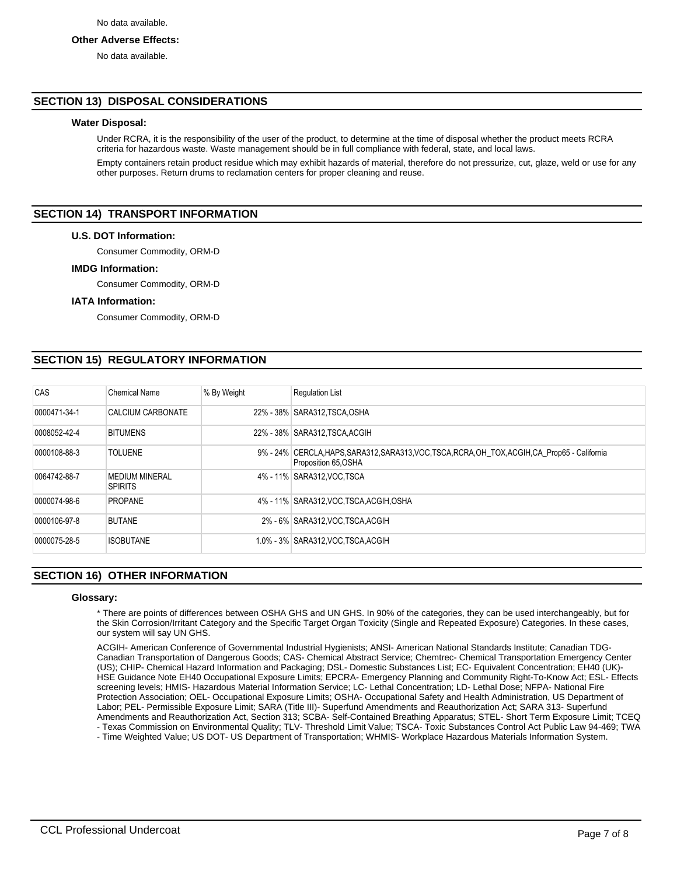#### **Other Adverse Effects:**

No data available.

## **SECTION 13) DISPOSAL CONSIDERATIONS**

### **Water Disposal:**

Under RCRA, it is the responsibility of the user of the product, to determine at the time of disposal whether the product meets RCRA criteria for hazardous waste. Waste management should be in full compliance with federal, state, and local laws.

Empty containers retain product residue which may exhibit hazards of material, therefore do not pressurize, cut, glaze, weld or use for any other purposes. Return drums to reclamation centers for proper cleaning and reuse.

## **SECTION 14) TRANSPORT INFORMATION**

#### **U.S. DOT Information:**

Consumer Commodity, ORM-D

#### **IMDG Information:**

Consumer Commodity, ORM-D

#### **IATA Information:**

Consumer Commodity, ORM-D

# **SECTION 15) REGULATORY INFORMATION**

| CAS          | <b>Chemical Name</b>                    | % By Weight | <b>Requlation List</b>                                                                                                 |
|--------------|-----------------------------------------|-------------|------------------------------------------------------------------------------------------------------------------------|
| 0000471-34-1 | CALCIUM CARBONATE                       |             | 22% - 38% SARA312, TSCA, OSHA                                                                                          |
| 0008052-42-4 | <b>BITUMENS</b>                         |             | 22% - 38% SARA312, TSCA, ACGIH                                                                                         |
| 0000108-88-3 | <b>TOLUENE</b>                          |             | 9% - 24% CERCLA, HAPS, SARA312, SARA313, VOC, TSCA, RCRA, OH TOX, ACGIH, CA Prop65 - California<br>Proposition 65,OSHA |
| 0064742-88-7 | <b>MEDIUM MINERAL</b><br><b>SPIRITS</b> |             | 4% - 11% SARA312, VOC TSCA                                                                                             |
| 0000074-98-6 | <b>PROPANE</b>                          |             | 4% - 11% SARA312, VOC, TSCA, ACGIH, OSHA                                                                               |
| 0000106-97-8 | <b>BUTANE</b>                           |             | 2% - 6% SARA312, VOC TSCA, ACGIH                                                                                       |
| 0000075-28-5 | <b>ISOBUTANE</b>                        |             | 1.0% - 3% SARA312, VOC TSCA, ACGIH                                                                                     |

# **SECTION 16) OTHER INFORMATION**

#### **Glossary:**

\* There are points of differences between OSHA GHS and UN GHS. In 90% of the categories, they can be used interchangeably, but for the Skin Corrosion/Irritant Category and the Specific Target Organ Toxicity (Single and Repeated Exposure) Categories. In these cases, our system will say UN GHS.

ACGIH- American Conference of Governmental Industrial Hygienists; ANSI- American National Standards Institute; Canadian TDG-Canadian Transportation of Dangerous Goods; CAS- Chemical Abstract Service; Chemtrec- Chemical Transportation Emergency Center (US); CHIP- Chemical Hazard Information and Packaging; DSL- Domestic Substances List; EC- Equivalent Concentration; EH40 (UK)- HSE Guidance Note EH40 Occupational Exposure Limits; EPCRA- Emergency Planning and Community Right-To-Know Act; ESL- Effects screening levels; HMIS- Hazardous Material Information Service; LC- Lethal Concentration; LD- Lethal Dose; NFPA- National Fire Protection Association; OEL- Occupational Exposure Limits; OSHA- Occupational Safety and Health Administration, US Department of Labor; PEL- Permissible Exposure Limit; SARA (Title III)- Superfund Amendments and Reauthorization Act; SARA 313- Superfund Amendments and Reauthorization Act, Section 313; SCBA- Self-Contained Breathing Apparatus; STEL- Short Term Exposure Limit; TCEQ - Texas Commission on Environmental Quality; TLV- Threshold Limit Value; TSCA- Toxic Substances Control Act Public Law 94-469; TWA

- Time Weighted Value; US DOT- US Department of Transportation; WHMIS- Workplace Hazardous Materials Information System.